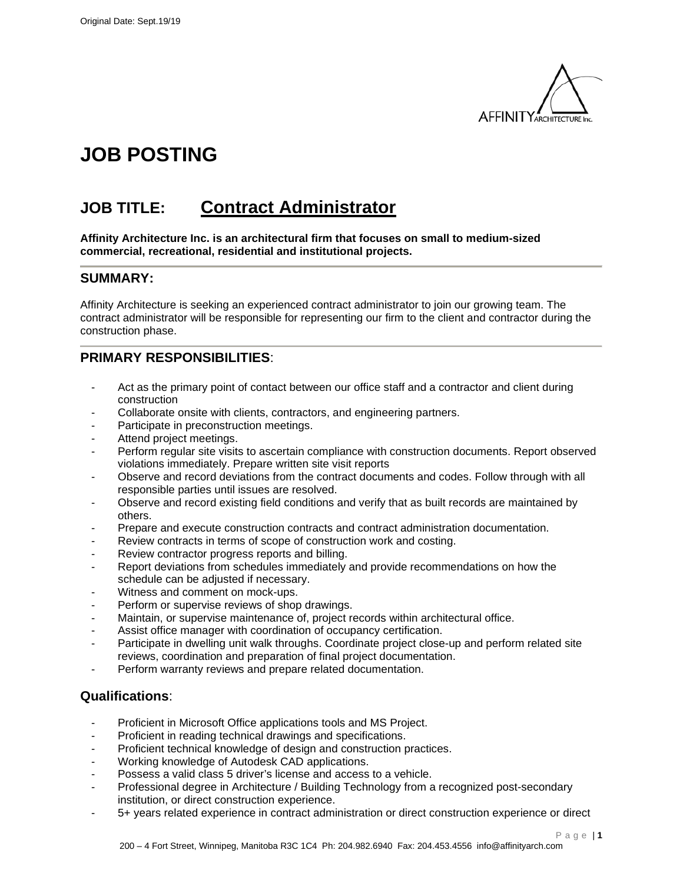

# **JOB POSTING**

## **JOB TITLE: Contract Administrator**

**Affinity Architecture Inc. is an architectural firm that focuses on small to medium-sized commercial, recreational, residential and institutional projects.**

#### **SUMMARY:**

Affinity Architecture is seeking an experienced contract administrator to join our growing team. The contract administrator will be responsible for representing our firm to the client and contractor during the construction phase.

### **PRIMARY RESPONSIBILITIES**:

- Act as the primary point of contact between our office staff and a contractor and client during construction
- Collaborate onsite with clients, contractors, and engineering partners.
- Participate in preconstruction meetings.
- Attend project meetings.
- Perform regular site visits to ascertain compliance with construction documents. Report observed violations immediately. Prepare written site visit reports
- Observe and record deviations from the contract documents and codes. Follow through with all responsible parties until issues are resolved.
- Observe and record existing field conditions and verify that as built records are maintained by others.
- Prepare and execute construction contracts and contract administration documentation.
- Review contracts in terms of scope of construction work and costing.
- Review contractor progress reports and billing.
- Report deviations from schedules immediately and provide recommendations on how the schedule can be adjusted if necessary.
- Witness and comment on mock-ups.
- Perform or supervise reviews of shop drawings.
- Maintain, or supervise maintenance of, project records within architectural office.
- Assist office manager with coordination of occupancy certification.
- Participate in dwelling unit walk throughs. Coordinate project close-up and perform related site reviews, coordination and preparation of final project documentation.
- Perform warranty reviews and prepare related documentation.

#### **Qualifications**:

- Proficient in Microsoft Office applications tools and MS Project.
- Proficient in reading technical drawings and specifications.
- Proficient technical knowledge of design and construction practices.
- Working knowledge of Autodesk CAD applications.
- Possess a valid class 5 driver's license and access to a vehicle.
- Professional degree in Architecture / Building Technology from a recognized post-secondary institution, or direct construction experience.
- 5+ years related experience in contract administration or direct construction experience or direct